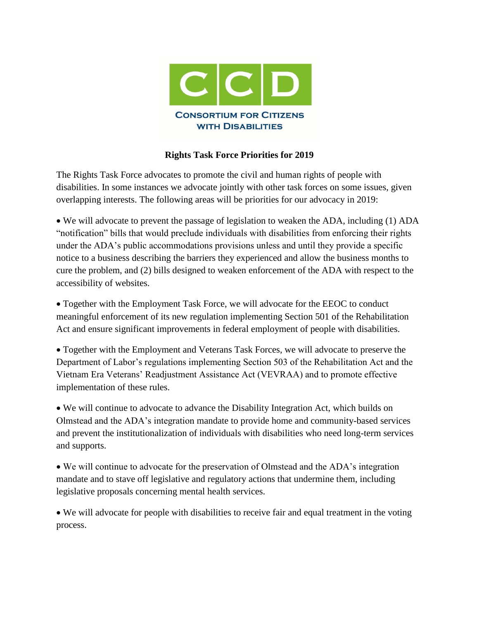

## **Rights Task Force Priorities for 2019**

The Rights Task Force advocates to promote the civil and human rights of people with disabilities. In some instances we advocate jointly with other task forces on some issues, given overlapping interests. The following areas will be priorities for our advocacy in 2019:

 We will advocate to prevent the passage of legislation to weaken the ADA, including (1) ADA "notification" bills that would preclude individuals with disabilities from enforcing their rights under the ADA's public accommodations provisions unless and until they provide a specific notice to a business describing the barriers they experienced and allow the business months to cure the problem, and (2) bills designed to weaken enforcement of the ADA with respect to the accessibility of websites.

 Together with the Employment Task Force, we will advocate for the EEOC to conduct meaningful enforcement of its new regulation implementing Section 501 of the Rehabilitation Act and ensure significant improvements in federal employment of people with disabilities.

 Together with the Employment and Veterans Task Forces, we will advocate to preserve the Department of Labor's regulations implementing Section 503 of the Rehabilitation Act and the Vietnam Era Veterans' Readjustment Assistance Act (VEVRAA) and to promote effective implementation of these rules.

 We will continue to advocate to advance the Disability Integration Act, which builds on Olmstead and the ADA's integration mandate to provide home and community-based services and prevent the institutionalization of individuals with disabilities who need long-term services and supports.

 We will continue to advocate for the preservation of Olmstead and the ADA's integration mandate and to stave off legislative and regulatory actions that undermine them, including legislative proposals concerning mental health services.

 We will advocate for people with disabilities to receive fair and equal treatment in the voting process.